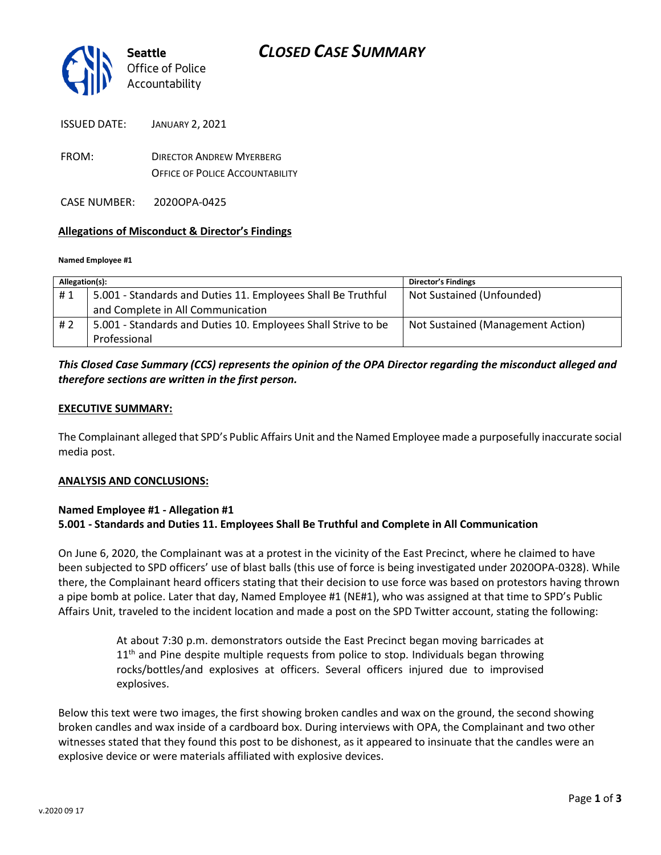

ISSUED DATE: JANUARY 2, 2021

FROM: DIRECTOR ANDREW MYERBERG OFFICE OF POLICE ACCOUNTABILITY

CASE NUMBER: 2020OPA-0425

### **Allegations of Misconduct & Director's Findings**

#### **Named Employee #1**

| Allegation(s): |                                                               | <b>Director's Findings</b>        |
|----------------|---------------------------------------------------------------|-----------------------------------|
| #1             | 5.001 - Standards and Duties 11. Employees Shall Be Truthful  | Not Sustained (Unfounded)         |
|                | and Complete in All Communication                             |                                   |
| #2             | 5.001 - Standards and Duties 10. Employees Shall Strive to be | Not Sustained (Management Action) |
|                | Professional                                                  |                                   |

## *This Closed Case Summary (CCS) represents the opinion of the OPA Director regarding the misconduct alleged and therefore sections are written in the first person.*

### **EXECUTIVE SUMMARY:**

The Complainant alleged that SPD's Public Affairs Unit and the Named Employee made a purposefully inaccurate social media post.

#### **ANALYSIS AND CONCLUSIONS:**

### **Named Employee #1 - Allegation #1**

### **5.001 - Standards and Duties 11. Employees Shall Be Truthful and Complete in All Communication**

On June 6, 2020, the Complainant was at a protest in the vicinity of the East Precinct, where he claimed to have been subjected to SPD officers' use of blast balls (this use of force is being investigated under 2020OPA-0328). While there, the Complainant heard officers stating that their decision to use force was based on protestors having thrown a pipe bomb at police. Later that day, Named Employee #1 (NE#1), who was assigned at that time to SPD's Public Affairs Unit, traveled to the incident location and made a post on the SPD Twitter account, stating the following:

> At about 7:30 p.m. demonstrators outside the East Precinct began moving barricades at  $11<sup>th</sup>$  and Pine despite multiple requests from police to stop. Individuals began throwing rocks/bottles/and explosives at officers. Several officers injured due to improvised explosives.

Below this text were two images, the first showing broken candles and wax on the ground, the second showing broken candles and wax inside of a cardboard box. During interviews with OPA, the Complainant and two other witnesses stated that they found this post to be dishonest, as it appeared to insinuate that the candles were an explosive device or were materials affiliated with explosive devices.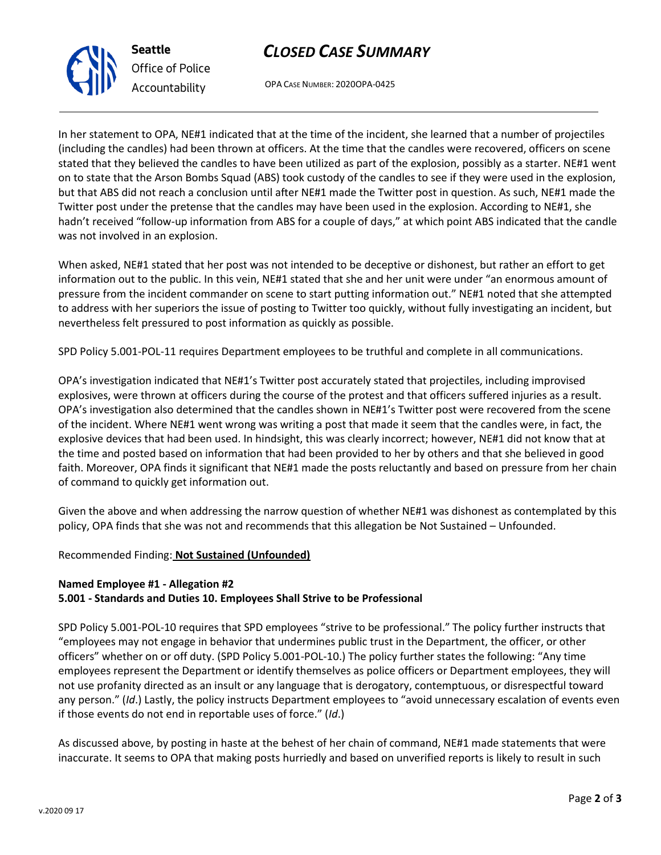# *CLOSED CASE SUMMARY*

OPA CASE NUMBER: 2020OPA-0425

In her statement to OPA, NE#1 indicated that at the time of the incident, she learned that a number of projectiles (including the candles) had been thrown at officers. At the time that the candles were recovered, officers on scene stated that they believed the candles to have been utilized as part of the explosion, possibly as a starter. NE#1 went on to state that the Arson Bombs Squad (ABS) took custody of the candles to see if they were used in the explosion, but that ABS did not reach a conclusion until after NE#1 made the Twitter post in question. As such, NE#1 made the Twitter post under the pretense that the candles may have been used in the explosion. According to NE#1, she hadn't received "follow-up information from ABS for a couple of days," at which point ABS indicated that the candle was not involved in an explosion.

When asked, NE#1 stated that her post was not intended to be deceptive or dishonest, but rather an effort to get information out to the public. In this vein, NE#1 stated that she and her unit were under "an enormous amount of pressure from the incident commander on scene to start putting information out." NE#1 noted that she attempted to address with her superiors the issue of posting to Twitter too quickly, without fully investigating an incident, but nevertheless felt pressured to post information as quickly as possible.

SPD Policy 5.001-POL-11 requires Department employees to be truthful and complete in all communications.

OPA's investigation indicated that NE#1's Twitter post accurately stated that projectiles, including improvised explosives, were thrown at officers during the course of the protest and that officers suffered injuries as a result. OPA's investigation also determined that the candles shown in NE#1's Twitter post were recovered from the scene of the incident. Where NE#1 went wrong was writing a post that made it seem that the candles were, in fact, the explosive devices that had been used. In hindsight, this was clearly incorrect; however, NE#1 did not know that at the time and posted based on information that had been provided to her by others and that she believed in good faith. Moreover, OPA finds it significant that NE#1 made the posts reluctantly and based on pressure from her chain of command to quickly get information out.

Given the above and when addressing the narrow question of whether NE#1 was dishonest as contemplated by this policy, OPA finds that she was not and recommends that this allegation be Not Sustained – Unfounded.

## Recommended Finding: **Not Sustained (Unfounded)**

## **Named Employee #1 - Allegation #2**

## **5.001 - Standards and Duties 10. Employees Shall Strive to be Professional**

SPD Policy 5.001-POL-10 requires that SPD employees "strive to be professional." The policy further instructs that "employees may not engage in behavior that undermines public trust in the Department, the officer, or other officers" whether on or off duty. (SPD Policy 5.001-POL-10.) The policy further states the following: "Any time employees represent the Department or identify themselves as police officers or Department employees, they will not use profanity directed as an insult or any language that is derogatory, contemptuous, or disrespectful toward any person." (*Id*.) Lastly, the policy instructs Department employees to "avoid unnecessary escalation of events even if those events do not end in reportable uses of force." (*Id*.)

As discussed above, by posting in haste at the behest of her chain of command, NE#1 made statements that were inaccurate. It seems to OPA that making posts hurriedly and based on unverified reports is likely to result in such



**Seattle** *Office of Police Accountability*